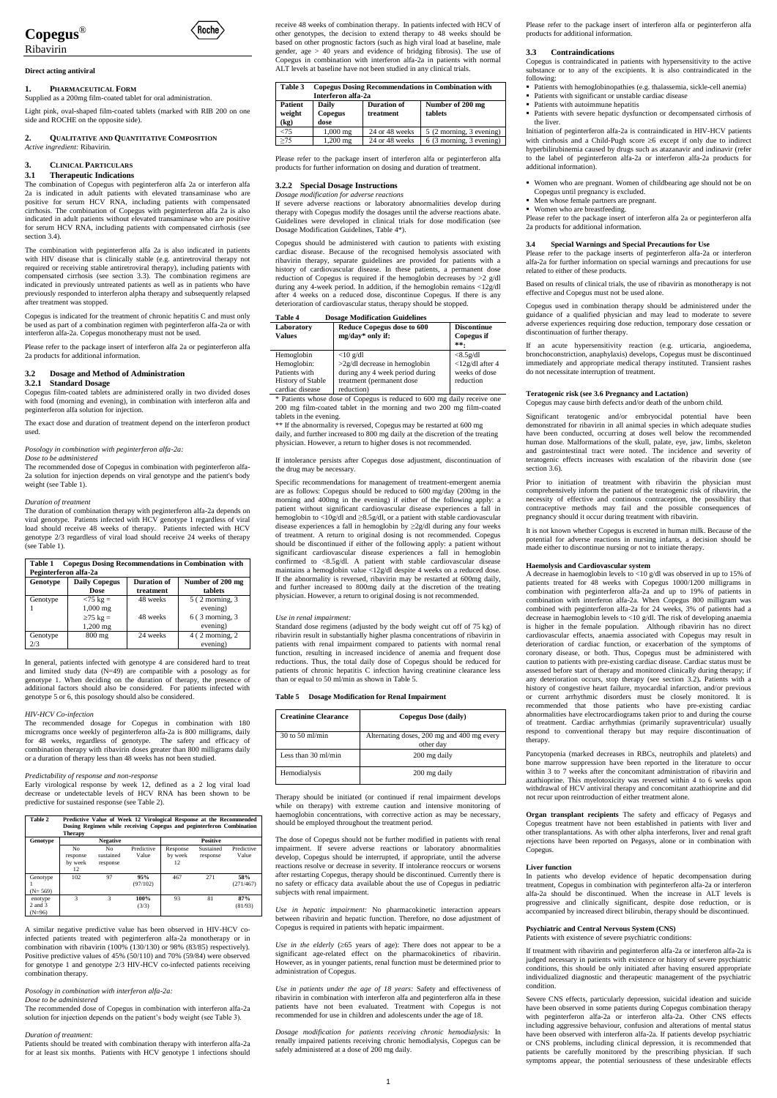



# Ribavirin

## **Direct acting antiviral**

# **1. PHARMACEUTICAL FORM**

Supplied as a 200mg film-coated tablet for oral administration.

Light pink, oval-shaped film-coated tablets (marked with RIB 200 on one side and ROCHE on the opposite side).

# **2. QUALITATIVE AND QUANTITATIVE COMPOSITION** *Active ingredient:* Ribavirin.

# **3. CLINICAL PARTICULARS**

# **3.1 Therapeutic Indications**

The combination of Copegus with peginterferon alfa 2a or interferon alfa 2a is indicated in adult patients with elevated transaminase who are positive for serum HCV RNA, including patients with compensated cirrhosis. The combination of Copegus with peginterferon alfa 2a is also indicated in adult patients without elevated transaminase who are positive for serum HCV RNA, including patients with compensated cirrhosis (see section 3.4).

The combination with peginterferon alfa 2a is also indicated in patients with HIV disease that is clinically stable (e.g. antiretroviral therapy not required or receiving stable antiretroviral therapy), including patients with compensated cirrhosis (see section 3.3). The combination regimens are indicated in previously untreated patients as well as in patients who have previously responded to interferon alpha therapy and subsequently relapsed after treatment was stopped.

Copegus is indicated for the treatment of chronic hepatitis C and must only be used as part of a combination regimen with peginterferon alfa-2a or with interferon alfa-2a. Copegus monotherapy must not be used.

Please refer to the package insert of interferon alfa 2a or peginterferon alfa 2a products for additional information.

# **3.2 Dosage and Method of Administration 3.2.1 Standard Dosage**

Copegus film-coated tablets are administered orally in two divided doses with food (morning and evening), in combination with interferon alfa and peginterferon alfa solution for injection.

The exact dose and duration of treatment depend on the interferon product used.

*Posology in combination with peginterferon alfa-2a:*

## *Dose to be administered*

The recommended dose of Copegus in combination with peginterferon alfa-2a solution for injection depends on viral genotype and the patient's body weight (see Table 1).

## *Duration of treatment*

The duration of combination therapy with peginterferon alfa-2a depends on viral genotype. Patients infected with HCV genotype 1 regardless of viral load should receive 48 weeks of therapy. Patients infected with HCV genotype 2/3 regardless of viral load should receive 24 weeks of therapy (see Table 1).

| <b>Copegus Dosing Recommendations in Combination with</b><br>Table 1 |                      |             |                           |  |
|----------------------------------------------------------------------|----------------------|-------------|---------------------------|--|
| Peginterferon alfa-2a                                                |                      |             |                           |  |
| Genotype                                                             | <b>Daily Copegus</b> | Duration of | Number of 200 mg          |  |
|                                                                      | <b>Dose</b>          | treatment   | tablets                   |  |
| Genotype                                                             | $< 75 \text{ kg} =$  | 48 weeks    | 5 (2 morning, 3)          |  |
|                                                                      | $1,000$ mg           |             | evening)                  |  |
|                                                                      | $\geq$ 75 kg =       | 48 weeks    | $6(3 \text{ morning}, 3)$ |  |
|                                                                      | 1,200 mg             |             | evening)                  |  |
| Genotype                                                             | $800 \text{ mg}$     | 24 weeks    | $4(2 \text{ morning}, 2)$ |  |
| 2/3                                                                  |                      |             | evening)                  |  |

In general, patients infected with genotype 4 are considered hard to treat and limited study data (N=49) are compatible with a posology as for genotype 1. When deciding on the duration of therapy, the presence of additional factors should also be considered. For patients infected with genotype 5 or 6, this posology should also be considered.

## *HIV-HCV Co-infection*

The recommended dosage for Copegus in combination with 180 micrograms once weekly of peginterferon alfa-2a is 800 milligrams, daily for 48 weeks, regardless of genotype. The safety and efficacy of combination therapy with ribavirin doses greater than 800 milligrams daily or a duration of therapy less than 48 weeks has not been studied.

# *Predictability of response and non-response*

Early virological response by week 12, defined as a 2 log viral load decrease or undetectable levels of HCV RNA has been shown to be predictive for sustained response (see Table 2).



|                                | <b>Therapy</b>                  |                             |                     |                           |                       |                     |
|--------------------------------|---------------------------------|-----------------------------|---------------------|---------------------------|-----------------------|---------------------|
| Genotype                       |                                 | <b>Negative</b>             |                     |                           | <b>Positive</b>       |                     |
|                                | No<br>response<br>by week<br>12 | No<br>sustained<br>response | Predictive<br>Value | Response<br>by week<br>12 | Sustained<br>response | Predictive<br>Value |
| Genotype<br>$(N=569)$          | 102                             | 97                          | 95%<br>(97/102)     | 467                       | 271                   | 58%<br>(271/467)    |
| enotype<br>2 and 3<br>$(N=96)$ | 3                               | 3                           | 100%<br>(3/3)       | 93                        | 81                    | 87%<br>(81/93)      |

A similar negative predictive value has been observed in HIV-HCV coinfected patients treated with peginterferon alfa-2a monotherapy or in combination with ribavirin (100% (130/130) or 98% (83/85) respectively). Positive predictive values of 45% (50/110) and 70% (59/84) were observed for genotype 1 and genotype 2/3 HIV-HCV co-infected patients receiving combination therapy.

*Posology in combination with interferon alfa-2a:*

*Dose to be administered*

The recommended dose of Copegus in combination with interferon alfa-2a solution for injection depends on the patient's body weight (see Table 3).

#### *Duration of treatment:*

Patients should be treated with combination therapy with interferon alfa-2a for at least six months. Patients with HCV genotype 1 infections should receive 48 weeks of combination therapy. In patients infected with HCV of other genotypes, the decision to extend therapy to 48 weeks should be based on other prognostic factors (such as high viral load at baseline, male gender, age > 40 years and evidence of bridging fibrosis). The use of Copegus in combination with interferon alfa-2a in patients with normal ALT levels at baseline have not been studied in any clinical trials.

*Use in the elderly*  $(\geq 65$  years of age): There does not appear to be a significant age-related effect on the pharmacokinetics of ribavirin. However, as in younger patients, renal function must be determined prior to administration of Copegus.

| Table 3                   | <b>Copegus Dosing Recommendations in Combination with</b><br>Interferon alfa-2a |                                 |                             |  |  |
|---------------------------|---------------------------------------------------------------------------------|---------------------------------|-----------------------------|--|--|
| Patient<br>weight<br>(kg) | <b>Daily</b><br>Copegus<br>dose                                                 | <b>Duration of</b><br>treatment | Number of 200 mg<br>tablets |  |  |
| ⊲5                        | $1,000 \,\mathrm{mg}$                                                           | 24 or 48 weeks                  | 5 (2 morning, 3 evening)    |  |  |
| >75                       | $1,200$ mg                                                                      | 24 or 48 weeks                  | 6 (3 morning, 3 evening)    |  |  |

Please refer to the package insert of interferon alfa or peginterferon alfa products for further information on dosing and duration of treatment.

## **3.2.2 Special Dosage Instructions**

*Dosage modification for adverse reactions* 

If severe adverse reactions or laboratory abnormalities develop during therapy with Copegus modify the dosages until the adverse reactions abate. Guidelines were developed in clinical trials for dose modification (see Dosage Modification Guidelines, Table 4\*).

Copegus should be administered with caution to patients with existing cardiac disease. Because of the recognised hemolysis associated with ribavirin therapy, separate guidelines are provided for patients with a history of cardiovascular disease. In these patients, a permanent dose reduction of Copegus is required if the hemoglobin decreases by >2 g/dl during any 4-week period. In addition, if the hemoglobin remains <12g/dl after 4 weeks on a reduced dose, discontinue Copegus. If there is any deterioration of cardiovascular status, therapy should be stopped.

> Significant teratogenic and/or embryocidal potential have been demonstrated for ribavirin in all animal species in which adequate studies have been conducted, occurring at doses well below the recommended human dose. Malformations of the skull, palate, eye, jaw, limbs, skeleton and gastrointestinal tract were noted. The incidence and severity of teratogenic effects increases with escalation of the ribavirin dose (see section 3.6).

## **Table 4 Dosage Modification Guidelines**

| Laboratory<br><b>Values</b>                                                               | Reduce Copegus dose to 600<br>mg/day* only if:                                                                                | <b>Discontinue</b><br>Copegus if<br>**.                      |
|-------------------------------------------------------------------------------------------|-------------------------------------------------------------------------------------------------------------------------------|--------------------------------------------------------------|
| Hemoglobin<br>Hemoglobin:<br>Patients with<br><b>History of Stable</b><br>cardiac disease | $<$ 10 g/dl<br>$>2g/dl$ decrease in hemoglobin<br>during any 4 week period during<br>treatment (permanent dose)<br>reduction) | <8.5g/dl<br>$<$ 12g/dl after 4<br>weeks of dose<br>reduction |

\* Patients whose dose of Copegus is reduced to 600 mg daily receive one 200 mg film-coated tablet in the morning and two 200 mg film-coated tablets in the evening.

\*\* If the abnormality is reversed, Copegus may be restarted at 600 mg daily, and further increased to 800 mg daily at the discretion of the treating physician. However, a return to higher doses is not recommended.

If intolerance persists after Copegus dose adjustment, discontinuation of the drug may be necessary.

> A decrease in haemoglobin levels to  $<\!\!10$  g/dl was observed in up to  $15\%$  of patients treated for 48 weeks with Copegus 1000/1200 milligrams in combination with peginterferon alfa-2a and up to 19% of patients in combination with interferon alfa-2a. When Copegus 800 milligram was combined with peginterferon alfa-2a for 24 weeks, 3% of patients had a decrease in haemoglobin levels to <10 g/dl. The risk of developing anaemia is higher in the female population. Although ribavirin has no direct cardiovascular effects, anaemia associated with Copegus may result in deterioration of cardiac function, or exacerbation of the symptoms of coronary disease, or both. Thus, Copegus must be administered with caution to patients with pre-existing cardiac disease. Cardiac status must be assessed before start of therapy and monitored clinically during therapy; if any deterioration occurs, stop therapy (see section 3.2)**.** Patients with a history of congestive heart failure, myocardial infarction, and/or previous or current arrhythmic disorders must be closely monitored. It is recommended that those patients who have pre-existing cardiac abnormalities have electrocardiograms taken prior to and during the course of treatment. Cardiac arrhythmias (primarily supraventricular) usually respond to conventional therapy but may require discontinuation of therapy.

Specific recommendations for management of treatment-emergent anemia are as follows: Copegus should be reduced to 600 mg/day (200mg in the morning and 400mg in the evening) if either of the following apply: a patient without significant cardiovascular disease experiences a fall in hemoglobin to <10g/dl and ≥8.5g/dl, or a patient with stable cardiovascular disease experiences a fall in hemoglobin by  ${\geq}2g/dl$  during any four weeks of treatment. A return to original dosing is not recommended. Copegus should be discontinued if either of the following apply: a patient without significant cardiovascular disease experiences a fall in hemoglobin confirmed to <8.5g/dl. A patient with stable cardiovascular disease maintains a hemoglobin value <12g/dl despite 4 weeks on a reduced dose. If the abnormality is reversed, ribavirin may be restarted at 600mg daily, and further increased to 800mg daily at the discretion of the treating physician. However, a return to original dosing is not recommended.

#### *Use in renal impairment:*

Standard dose regimens (adjusted by the body weight cut off of 75 kg) of ribavirin result in substantially higher plasma concentrations of ribavirin in patients with renal impairment compared to patients with normal renal function, resulting in increased incidence of anemia and frequent dose reductions. Thus, the total daily dose of Copegus should be reduced for patients of chronic hepatitis C infection having creatinine clearance less than or equal to 50 ml/min as shown in Table 5*.*

## **Table 5 Dosage Modification for Renal Impairment**

| <b>Creatinine Clearance</b>         | Copegus Dose (daily)                                    |
|-------------------------------------|---------------------------------------------------------|
| $30 \text{ to } 50 \text{ m}$ l/min | Alternating doses, 200 mg and 400 mg every<br>other day |
| Less than $30 \text{ ml/min}$       | 200 mg daily                                            |
| Hemodialysis                        | 200 mg daily                                            |

Therapy should be initiated (or continued if renal impairment develops while on therapy) with extreme caution and intensive monitoring of haemoglobin concentrations, with corrective action as may be necessary, should be employed throughout the treatment period.

The dose of Copegus should not be further modified in patients with renal impairment. If severe adverse reactions or laboratory abnormalities develop, Copegus should be interrupted, if appropriate, until the adverse reactions resolve or decrease in severity. If intolerance reoccurs or worsens after restarting Copegus, therapy should be discontinued. Currently there is no safety or efficacy data available about the use of Copegus in pediatric subjects with renal impairment.

*Use in hepatic impairment:* No pharmacokinetic interaction appears between ribavirin and hepatic function. Therefore, no dose adjustment of Copegus is required in patients with hepatic impairment.

*Use in patients under the age of 18 years:* Safety and effectiveness of ribavirin in combination with interferon alfa and peginterferon alfa in these patients have not been evaluated. Treatment with Copegus is not recommended for use in children and adolescents under the age of 18.

*Dosage modification for patients receiving chronic hemodialysis:* In renally impaired patients receiving chronic hemodialysis, Copegus can be safely administered at a dose of 200 mg daily.

Please refer to the package insert of interferon alfa or peginterferon alfa products for additional information.

## **3.3 Contraindications**

Copegus is contraindicated in patients with hypersensitivity to the active substance or to any of the excipients. It is also contraindicated in the following:

- Patients with hemoglobinopathies (e.g. thalassemia, sickle-cell anemia)
- Patients with significant or unstable cardiac disease
- Patients with autoimmune hepatitis

 Patients with severe hepatic dysfunction or decompensated cirrhosis of the liver.

Initiation of peginterferon alfa-2a is contraindicated in HIV-HCV patients with cirrhosis and a Child-Pugh score  $\geq 6$  except if only due to indirect hyperbilirubinemia caused by drugs such as atazanavir and indinavir (refer to the label of peginterferon alfa-2a or interferon alfa-2a products for additional information).

- Women who are pregnant. Women of childbearing age should not be on Copegus until pregnancy is excluded.
- Men whose female partners are pregnant.
- Women who are breastfeeding.

Please refer to the package insert of interferon alfa 2a or peginterferon alfa 2a products for additional information.

## **3.4 Special Warnings and Special Precautions for Use**

Please refer to the package inserts of peginterferon alfa-2a or interferon alfa-2a for further information on special warnings and precautions for use related to either of these products.

Based on results of clinical trials, the use of ribavirin as monotherapy is not effective and Copegus must not be used alone.

Copegus used in combination therapy should be administered under the guidance of a qualified physician and may lead to moderate to severe adverse experiences requiring dose reduction, temporary dose cessation or discontinuation of further therapy.

If an acute hypersensitivity reaction (e.g. urticaria, angioedema, bronchoconstriction, anaphylaxis) develops, Copegus must be discontinued immediately and appropriate medical therapy instituted. Transient rashes do not necessitate interruption of treatment.

## **Teratogenic risk (see 3.6 Pregnancy and Lactation)**

Copegus may cause birth defects and/or death of the unborn child.

Prior to initiation of treatment with ribavirin the physician must comprehensively inform the patient of the teratogenic risk of ribavirin, the necessity of effective and continous contraception, the possibility that contraceptive methods may fail and the possible consequences of pregnancy should it occur during treatment with ribavirin.

It is not known whether Copegus is excreted in human milk. Because of the potential for adverse reactions in nursing infants, a decision should be made either to discontinue nursing or not to initiate therapy.

# **Haemolysis and Cardiovascular system**

Pancytopenia (marked decreases in RBCs, neutrophils and platelets) and bone marrow suppression have been reported in the literature to occur within 3 to 7 weeks after the concomitant administration of ribavirin and azathioprine. This myelotoxicity was reversed within 4 to 6 weeks upon withdrawal of HCV antiviral therapy and concomitant azathioprine and did not recur upon reintroduction of either treatment alone.

**Organ transplant recipients** The safety and efficacy of Pegasys and Copegus treatment have not been established in patients with liver and other transplantations. As with other alpha interferons, liver and renal graft rejections have been reported on Pegasys, alone or in combination with Copegus.

#### **Liver function**

In patients who develop evidence of hepatic decompensation during treatment, Copegus in combination with peginterferon alfa-2a or interferon alfa-2a should be discontinued. When the increase in ALT levels is progressive and clinically significant, despite dose reduction, or is accompanied by increased direct bilirubin, therapy should be discontinued.

# **Psychiatric and Central Nervous System (CNS)**

Patients with existence of severe psychiatric conditions:

If treatment with ribavirin and peginterferon alfa-2a or interferon alfa-2a is judged necessary in patients with existence or history of severe psychiatric conditions, this should be only initiated after having ensured appropriate individualized diagnostic and therapeutic management of the psychiatric condition.

Severe CNS effects, particularly depression, suicidal ideation and suicide have been observed in some patients during Copegus combination therapy with peginterferon alfa-2a or interferon alfa-2a. Other CNS effects including aggressive behaviour, confusion and alterations of mental status have been observed with interferon alfa-2a. If patients develop psychiatric or CNS problems, including clinical depression, it is recommended that patients be carefully monitored by the prescribing physician. If such symptoms appear, the potential seriousness of these undesirable effects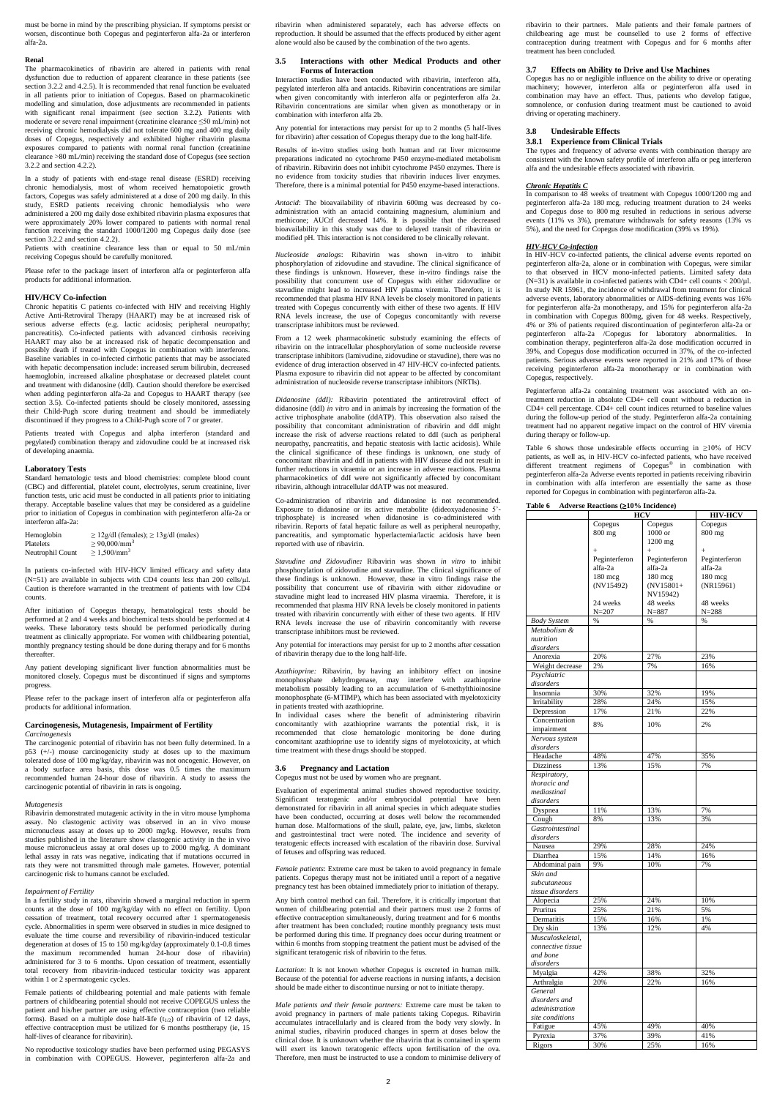must be borne in mind by the prescribing physician. If symptoms persist or worsen, discontinue both Copegus and peginterferon alfa-2a or interferon alfa-2a.

#### **Renal**

The pharmacokinetics of ribavirin are altered in patients with renal dysfunction due to reduction of apparent clearance in these patients (see section 3.2.2 and 4.2.5). It is recommended that renal function be evaluated in all patients prior to initiation of Copegus. Based on pharmacokinetic modelling and simulation, dose adjustments are recommended in patients with significant renal impairment (see section 3.2.2). Patients with moderate or severe renal impairment (creatinine clearance ≤50 mL/min) not receiving chronic hemodialysis did not tolerate 600 mg and 400 mg daily doses of Copegus, respectively and exhibited higher ribavirin plasma exposures compared to patients with normal renal function (creatinine clearance >80 mL/min) receiving the standard dose of Copegus (see section 3.2.2 and section 4.2.2).

In a study of patients with end-stage renal disease (ESRD) receiving chronic hemodialysis, most of whom received hematopoietic growth factors, Copegus was safely administered at a dose of 200 mg daily. In this study, ESRD patients receiving chronic hemodialysis who were administered a 200 mg daily dose exhibited ribavirin plasma exposures that were approximately 20% lower compared to patients with normal renal function receiving the standard 1000/1200 mg Copegus daily dose (see section 3.2.2 and section 4.2.2).

Patients with creatinine clearance less than or equal to 50 mL/min receiving Copegus should be carefully monitored.

Please refer to the package insert of interferon alfa or peginterferon alfa products for additional information.

#### **HIV/HCV Co-infection**

Chronic hepatitis C patients co-infected with HIV and receiving Highly Active Anti-Retroviral Therapy (HAART) may be at increased risk of serious adverse effects (e.g. lactic acidosis; peripheral neuropathy; pancreatitis). Co-infected patients with advanced cirrhosis receiving HAART may also be at increased risk of hepatic decompensation and possibly death if treated with Copegus in combination with interferons. Baseline variables in co-infected cirrhotic patients that may be associated with hepatic decompensation include: increased serum bilirubin, decreased haemoglobin, increased alkaline phosphatase or decreased platelet count and treatment with didanosine (ddl). Caution should therefore be exercised when adding peginterferon alfa-2a and Copegus to HAART therapy (see section 3.5). Co-infected patients should be closely monitored, assessing their Child-Pugh score during treatment and should be immediately discontinued if they progress to a Child-Pugh score of 7 or greater.

Patients treated with Copegus and alpha interferon (standard and pegylated) combination therapy and zidovudine could be at increased risk of developing anaemia.

# **Laboratory Tests**

Standard hematologic tests and blood chemistries: complete blood count (CBC) and differential, platelet count, electrolytes, serum creatinine, liver function tests, uric acid must be conducted in all patients prior to initiating therapy. Acceptable baseline values that may be considered as a guideline prior to initiation of Copegus in combination with peginterferon alfa-2a or interferon alfa-2a:

| Hemoglobin       | $\geq$ 12g/dl (females); $\geq$ 13g/dl (males) |
|------------------|------------------------------------------------|
| Platelets        | $\geq 90,000/\text{mm}^3$                      |
| Neutrophil Count | $\geq 1,500/\text{mm}^3$                       |

In patients co-infected with HIV-HCV limited efficacy and safety data (N=51) are available in subjects with CD4 counts less than 200 cells/ $\mu$ l. Caution is therefore warranted in the treatment of patients with low CD4 counts.

After initiation of Copegus therapy, hematological tests should be performed at 2 and 4 weeks and biochemical tests should be performed at 4 weeks. These laboratory tests should be performed periodically during treatment as clinically appropriate. For women with childbearing potential, monthly pregnancy testing should be done during therapy and for 6 months thereafter.

Any patient developing significant liver function abnormalities must be monitored closely. Copegus must be discontinued if signs and symptoms progress.

Please refer to the package insert of interferon alfa or peginterferon alfa products for additional information.

# **Carcinogenesis, Mutagenesis, Impairment of Fertility** *Carcinogenesis*

The carcinogenic potential of ribavirin has not been fully determined. In a p53 (+/-) mouse carcinogenicity study at doses up to the maximum tolerated dose of 100 mg/kg/day, ribavirin was not oncogenic. However, on a body surface area basis, this dose was 0.5 times the maximum recommended human 24-hour dose of ribavirin. A study to assess the carcinogenic potential of ribavirin in rats is ongoing.

#### *Mutagenesis*

Ribavirin demonstrated mutagenic activity in the in vitro mouse lymphoma assay. No clastogenic activity was observed in an in vivo mouse

micronucleus assay at doses up to 2000 mg/kg. However, results from studies published in the literature show clastogenic activity in the in vivo mouse micronucleus assay at oral doses up to 2000 mg/kg. A dominant lethal assay in rats was negative, indicating that if mutations occurred in rats they were not transmitted through male gametes. However, potential carcinogenic risk to humans cannot be excluded.

#### *Impairment of Fertility*

In a fertility study in rats, ribavirin showed a marginal reduction in sperm counts at the dose of 100 mg/kg/day with no effect on fertility. Upon cessation of treatment, total recovery occurred after 1 spermatogenesis cycle. Abnormalities in sperm were observed in studies in mice designed to evaluate the time course and reversibility of ribavirin-induced testicular degeneration at doses of 15 to 150 mg/kg/day (approximately 0.1-0.8 times the maximum recommended human 24-hour dose of ribavirin) administered for 3 to 6 months. Upon cessation of treatment, essentially total recovery from ribavirin-induced testicular toxicity was apparent within 1 or 2 spermatogenic cycles.

Female patients of childbearing potential and male patients with female partners of childbearing potential should not receive COPEGUS unless the patient and his/her partner are using effective contraception (two reliable forms). Based on a multiple dose half-life  $(t_{1/2})$  of ribavirin of 12 days, effective contraception must be utilized for 6 months posttherapy (ie, 15 half-lives of clearance for ribavirin).

No reproductive toxicology studies have been performed using PEGASYS in combination with COPEGUS. However, peginterferon alfa-2a and ribavirin when administered separately, each has adverse effects on reproduction. It should be assumed that the effects produced by either agent alone would also be caused by the combination of the two agents.

# **3.5 Interactions with other Medical Products and other Forms of Interaction**

Interaction studies have been conducted with ribavirin, interferon alfa, pegylated interferon alfa and antacids. Ribavirin concentrations are similar when given concomitantly with interferon alfa or peginterferon alfa 2a. Ribavirin concentrations are similar when given as monotherapy or in combination with interferon alfa 2b.

Any potential for interactions may persist for up to 2 months (5 half-lives for ribavirin) after cessation of Copegus therapy due to the long half-life.

Results of in-vitro studies using both human and rat liver microsome preparations indicated no cytochrome P450 enzyme-mediated metabolism of ribavirin. Ribavirin does not inhibit cytochrome P450 enzymes. There is no evidence from toxicity studies that ribavirin induces liver enzymes. Therefore, there is a minimal potential for P450 enzyme-based interactions.

*Antacid*: The bioavailability of ribavirin 600mg was decreased by coadministration with an antacid containing magnesium, aluminium and methicone; AUCtf decreased 14%. It is possible that the decreased bioavailability in this study was due to delayed transit of ribavirin or modified pH. This interaction is not considered to be clinically relevant.

*Nucleoside analogs*: Ribavirin was shown in-vitro to inhibit phosphorylation of zidovudine and stavudine. The clinical significance of these findings is unknown. However, these in-vitro findings raise the possibility that concurrent use of Copegus with either zidovudine or stavudine might lead to increased HIV plasma viremia. Therefore, it is recommended that plasma HIV RNA levels be closely monitored in patients treated with Copegus concurrently with either of these two agents. If HIV RNA levels increase, the use of Copegus concomitantly with reverse transcriptase inhibitors must be reviewed.

From a 12 week pharmacokinetic substudy examining the effects of ribavirin on the intracellular phosphorylation of some nucleoside reverse transcriptase inhibitors (lamivudine, zidovudine or stavudine), there was no evidence of drug interaction observed in 47 HIV-HCV co-infected patients. Plasma exposure to ribavirin did not appear to be affected by concomitant administration of nucleoside reverse transcriptase inhibitors (NRTIs).

*Didanosine (ddI):* Ribavirin potentiated the antiretroviral effect of didanosine (ddI) *in vitro* and in animals by increasing the formation of the active triphosphate anabolite (ddATP). This observation also raised the possibility that concomitant administration of ribavirin and ddI might increase the risk of adverse reactions related to ddI (such as peripheral neuropathy, pancreatitis, and hepatic steatosis with lactic acidosis). While the clinical significance of these findings is unknown, one study of concomitant ribavirin and ddI in patients with HIV disease did not result in further reductions in viraemia or an increase in adverse reactions. Plasma pharmacokinetics of ddI were not significantly affected by concomitant ribavirin, although intracellular ddATP was not measured.

Co-administration of ribavirin and didanosine is not recommended. Exposure to didanosine or its active metabolite (dideoxyadenosine 5' triphosphate) is increased when didanosine is co-administered with ribavirin. Reports of fatal hepatic failure as well as peripheral neuropathy, pancreatitis, and symptomatic hyperlactemia/lactic acidosis have been reported with use of ribavirin.

*Stavudine and Zidovudine:* Ribavirin was shown *in vitro* to inhibit phosphorylation of zidovudine and stavudine. The clinical significance of these findings is unknown. However, these in vitro findings raise the possibility that concurrent use of ribavirin with either zidovudine or stavudine might lead to increased HIV plasma viraemia. Therefore, it is recommended that plasma HIV RNA levels be closely monitored in patients treated with ribavirin concurrently with either of these two agents. If HIV RNA levels increase the use of ribavirin concomitantly with reverse transcriptase inhibitors must be reviewed.

Any potential for interactions may persist for up to 2 months after cessation of ribavirin therapy due to the long half-life.

*Azathioprine:* Ribavirin, by having an inhibitory effect on inosine monophosphate dehydrogenase, may interfere with azathioprine metabolism possibly leading to an accumulation of 6-methylthioinosine monophosphate (6-MTIMP), which has been associated with myelotoxicity in patients treated with azathioprine.

In individual cases where the benefit of administering ribavirin concomitantly with azathioprine warrants the potential risk, it is recommended that close hematologic monitoring be done during concomitant azathioprine use to identify signs of myelotoxicity, at which time treatment with these drugs should be stopped.

# **3.6 Pregnancy and Lactation**

Copegus must not be used by women who are pregnant.

Evaluation of experimental animal studies showed reproductive toxicity. Significant teratogenic and/or embryocidal potential have been demonstrated for ribavirin in all animal species in which adequate studies have been conducted, occurring at doses well below the recommended human dose. Malformations of the skull, palate, eye, jaw, limbs, skeleton

and gastrointestinal tract were noted. The incidence and severity of teratogenic effects increased with escalation of the ribavirin dose. Survival of fetuses and offspring was reduced.

*Female patients*: Extreme care must be taken to avoid pregnancy in female patients. Copegus therapy must not be initiated until a report of a negative pregnancy test has been obtained immediately prior to initiation of therapy.

Any birth control method can fail. Therefore, it is critically important that women of childbearing potential and their partners must use 2 forms of effective contraception simultaneously, during treatment and for 6 months after treatment has been concluded; routine monthly pregnancy tests must be performed during this time. If pregnancy does occur during treatment or within 6 months from stopping treatment the patient must be advised of the significant teratogenic risk of ribavirin to the fetus.

*Lactation*: It is not known whether Copegus is excreted in human milk. Because of the potential for adverse reactions in nursing infants, a decision should be made either to discontinue nursing or not to initiate therapy.

*Male patients and their female partners:* Extreme care must be taken to avoid pregnancy in partners of male patients taking Copegus. Ribavirin accumulates intracellularly and is cleared from the body very slowly. In animal studies, ribavirin produced changes in sperm at doses below the clinical dose. It is unknown whether the ribavirin that is contained in sperm will exert its known teratogenic effects upon fertilisation of the ova. Therefore, men must be instructed to use a condom to minimise delivery of ribavirin to their partners. Male patients and their female partners of childbearing age must be counselled to use 2 forms of effective contraception during treatment with Copegus and for 6 months after treatment has been concluded.

# **3.7 Effects on Ability to Drive and Use Machines**

Copegus has no or negligible influence on the ability to drive or operating machinery; however, interferon alfa or peginterferon alfa used in combination may have an effect. Thus, patients who develop fatigue, somnolence, or confusion during treatment must be cautioned to avoid driving or operating machinery.

# **3.8 Undesirable Effects**

# **3.8.1 Experience from Clinical Trials**

The types and frequency of adverse events with combination therapy are consistent with the known safety profile of interferon alfa or peg interferon alfa and the undesirable effects associated with ribavirin.

#### *Chronic Hepatitis C*

In comparison to 48 weeks of treatment with Copegus 1000/1200 mg and peginterferon alfa-2a 180 mcg, reducing treatment duration to 24 weeks and Copegus dose to 800 mg resulted in reductions in serious adverse events (11% vs 3%), premature withdrawals for safety reasons (13% vs 5%), and the need for Copegus dose modification (39% vs 19%).

## *HIV-HCV Co-infection*

In HIV-HCV co-infected patients, the clinical adverse events reported on peginterferon alfa-2a, alone or in combination with Copegus, were similar to that observed in HCV mono-infected patients. Limited safety data (N=31) is available in co-infected patients with CD4+ cell counts <  $200/\mu$ l. In study NR 15961, the incidence of withdrawal from treatment for clinical adverse events, laboratory abnormalities or AIDS-defining events was 16% for peginterferon alfa-2a monotherapy, and 15% for peginterferon alfa-2a in combination with Copegus 800mg, given for 48 weeks. Respectively, 4% or 3% of patients required discontinuation of peginterferon alfa-2a or peginterferon alfa-2a /Copegus for laboratory abnormalities. In combination therapy, peginterferon alfa-2a dose modification occurred in 39%, and Copegus dose modification occurred in 37%, of the co-infected patients. Serious adverse events were reported in 21% and 17% of those receiving peginterferon alfa-2a monotherapy or in combination with Copegus, respectively.

Peginterferon alfa-2a containing treatment was associated with an ontreatment reduction in absolute CD4+ cell count without a reduction in CD4+ cell percentage. CD4+ cell count indices returned to baseline values during the follow-up period of the study. Peginterferon alfa-2a containing treatment had no apparent negative impact on the control of HIV viremia during therapy or follow-up.

Table 6 shows those undesirable effects occurring in ≥10% of HCV patients, as well as, in HIV-HCV co-infected patients, who have received different treatment regimens of Copegus® in combination with peginterferon alfa-2a Adverse events reported in patients receiving ribavirin in combination with alfa interferon are essentially the same as those reported for Copegus in combination with peginterferon alfa-2a.

# **Table 6 Adverse Reactions (10% Incidence)**

|                    | <b>HCV</b>    |                  | <b>HIV-HCV</b>    |
|--------------------|---------------|------------------|-------------------|
|                    | Copegus       | Copegus          | Copegus           |
|                    | $800$ mg      | $1000$ or        | $800$ mg          |
|                    |               | $1200$ mg        |                   |
|                    | $+$           | $\ddot{}$        | $^{+}$            |
|                    | Peginterferon | Peginterferon    | Peginterferon     |
|                    | alfa-2a       | alfa-2a          | alfa-2a           |
|                    | 180 mcg       | $180 \text{ mc}$ | $180 \text{ mcg}$ |
|                    | (NV15492)     | $(NV15801 +$     | (NR15961)         |
|                    |               | NV15942)         |                   |
|                    | 24 weeks      | 48 weeks         | 48 weeks          |
|                    | $N = 207$     | $N = 887$        | $N = 288$         |
| <b>Body System</b> | $\frac{0}{0}$ | $\frac{0}{0}$    | $\%$              |
| Metabolism &       |               |                  |                   |
| nutrition          |               |                  |                   |
| disorders          |               |                  |                   |
| Anorexia           | 20%           | 27%              | 23%               |
| Weight decrease    | 2%            | 7%               | 16%               |
| Psychiatric        |               |                  |                   |
| disorders          |               |                  |                   |
| Insomnia           | 30%           | 32%              | 19%               |
| Irritability       | 28%           | 24%              | 15%               |
| Depression         | 17%           | 21%              | 22%               |
| Concentration      |               |                  |                   |
| impairment         | 8%            | 10%              | 2%                |
| Nervous system     |               |                  |                   |
| disorders          |               |                  |                   |
| Headache           | 48%           | 47%              | 35%               |
| <b>Dizziness</b>   | 13%           | 15%              | 7%                |
| Respiratory,       |               |                  |                   |
| thoracic and       |               |                  |                   |
| mediastinal        |               |                  |                   |
| disorders          |               |                  |                   |
| Dyspnea            | 11%           | 13%              | 7%                |
| Cough              | 8%            | 13%              | 3%                |
| Gastrointestinal   |               |                  |                   |
| disorders          |               |                  |                   |
| Nausea             | 29%           | 28%              | 24%               |
| Diarrhea           | 15%           | 14%              | 16%               |
| Abdominal pain     | 9%            | 10%              | 7%                |
| Skin and           |               |                  |                   |
| subcutaneous       |               |                  |                   |
| tissue disorders   |               |                  |                   |
| Alopecia           | 25%           | 24%              | 10%               |
| Pruritus           | 25%           | 21%              | 5%                |
| Dermatitis         | 15%           | 16%              | 1%                |
| Dry skin           | 13%           | 12%              | 4%                |
| Musculoskeletal,   |               |                  |                   |
| connective tissue  |               |                  |                   |
| and bone           |               |                  |                   |
| disorders          |               |                  |                   |
| Myalgia            | 42%           | 38%              | 32%               |
| Arthralgia         | 20%           | 22%              | 16%               |
| General            |               |                  |                   |
| disorders and      |               |                  |                   |
| administration     |               |                  |                   |
| site conditions    |               |                  |                   |
| Fatigue            | 45%           | 49%              | 40%               |
| Pyrexia            | 37%           | 39%              | 41%               |
| Rigors             | 30%           | 25%              | 16%               |
|                    |               |                  |                   |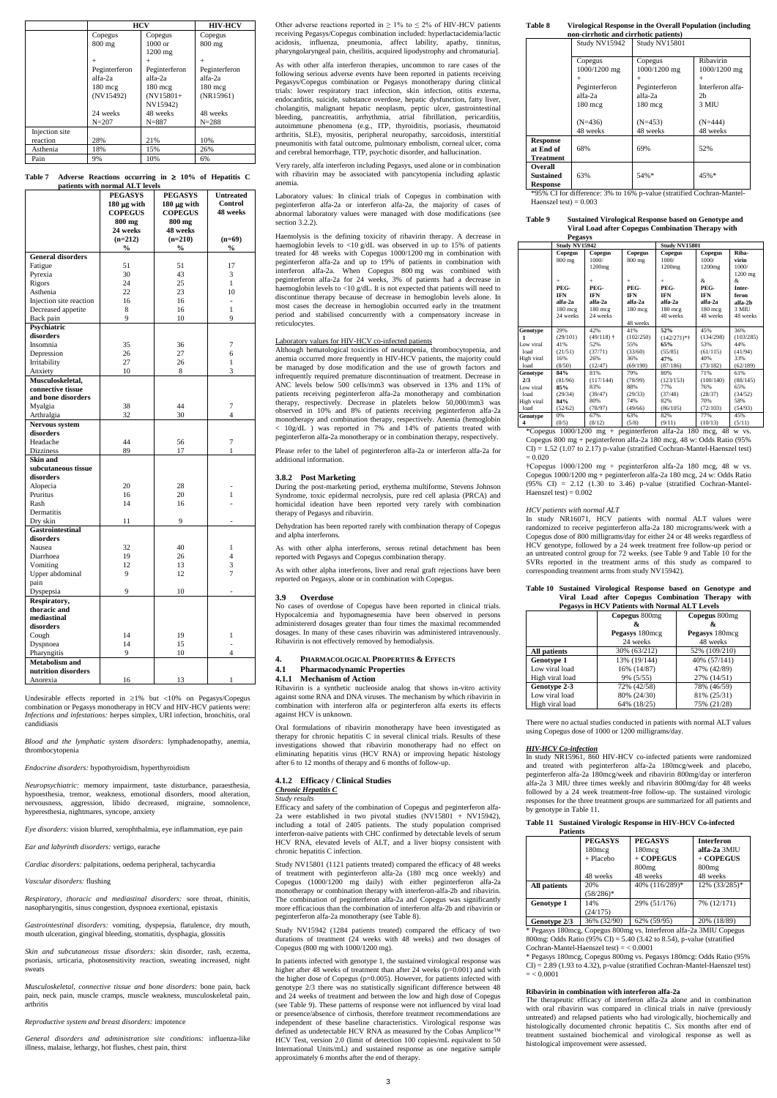|                | <b>HCV</b>       | <b>HIV-HCV</b>     |                   |
|----------------|------------------|--------------------|-------------------|
|                | Copegus          | Copegus            | Copegus           |
|                | $800 \text{ mg}$ | $1000 \text{ or }$ | $800 \text{ mg}$  |
|                |                  | $1200$ mg          |                   |
|                | $+$              | $^{+}$             | $+$               |
|                | Peginterferon    | Peginterferon      | Peginterferon     |
|                | alfa-2a          | alfa-2a            | alfa-2a           |
|                | $180 \text{ mc}$ | $180 \text{ mcg}$  | $180 \text{ mcg}$ |
|                | (NV15492)        | $(NV15801+$        | (NR15961)         |
|                |                  | NV15942)           |                   |
|                | 24 weeks         | 48 weeks           | 48 weeks          |
|                | $N = 207$        | $N = 887$          | $N = 288$         |
| Injection site |                  |                    |                   |
| reaction       | 28%              | 21%                | 10%               |
| Asthenia       | 18%              | 15%                | 26%               |
| Pain           | 9%               | 10%                | 6%                |

**Table 7 Adverse Reactions occurring in 10% of Hepatitis C patients with normal ALT levels** 

Undesirable effects reported in  $\geq 1\%$  but <10% on Pegasys/Copegus combination or Pegasys monotherapy in HCV and HIV-HCV patients were: *Infections and infestations:* herpes simplex, URI infection, bronchitis, oral candidiasis

|                          | <b>PEGASYS</b>   | <b>PEGASYS</b>   | <b>Untreated</b>         |
|--------------------------|------------------|------------------|--------------------------|
|                          | $180 \mu g$ with | $180 \mu g$ with | Control                  |
|                          | <b>COPEGUS</b>   | <b>COPEGUS</b>   | 48 weeks                 |
|                          | 800 mg           | 800 mg           |                          |
|                          | 24 weeks         | 48 weeks         |                          |
|                          | $(n=212)$        | $(n=210)$        | $(n=69)$                 |
|                          | $\%$             | $\frac{0}{0}$    | $\frac{0}{0}$            |
| <b>General disorders</b> |                  |                  |                          |
| Fatigue                  | 51               | 51               | 17                       |
| Pyrexia                  | 30               | 43               | 3                        |
| Rigors                   | 24               | 25               | $\mathbf{1}$             |
| Asthenia                 | 22               | 23               | 10                       |
| Injection site reaction  | 16               | 16               | $\overline{\phantom{a}}$ |
| Decreased appetite       | 8                | 16               | 1                        |
| Back pain                | 9                | 10               | 9                        |
| Psychiatric              |                  |                  |                          |
| disorders                |                  |                  |                          |
| Insomnia                 | 35               | 36               | 7                        |
| Depression               | 26               | 27               | 6                        |
| Irritability             | 27               | 26               | 1                        |
| Anxiety                  | 10               | 8                | 3                        |
| Musculoskeletal,         |                  |                  |                          |
| connective tissue        |                  |                  |                          |
| and bone disorders       |                  |                  |                          |
| Myalgia                  | 38               | 44               | 7                        |
| Arthralgia               | 32               | 30               | $\overline{4}$           |
| Nervous system           |                  |                  |                          |
| disorders                |                  |                  |                          |
| Headache                 | 44               | 56               | 7                        |
| <b>Dizziness</b>         | 89               | 17               | 1                        |
| <b>Skin and</b>          |                  |                  |                          |
| subcutaneous tissue      |                  |                  |                          |
| disorders                |                  |                  |                          |
| Alopecia                 | 20               | 28               |                          |
| Pruritus                 | 16               | 20               | 1                        |
| Rash                     | 14               | 16               |                          |
| Dermatitis               |                  |                  |                          |
| Dry skin                 | 11               | 9                |                          |
| Gastrointestinal         |                  |                  |                          |
| disorders                |                  |                  |                          |
| Nausea                   | 32               | 40               | 1                        |
| Diarrhoea                | 19               | 26               | 4                        |
| Vomiting                 | 12               | 13               | 3                        |
| Upper abdominal          | 9                | 12               | 7                        |
| pain                     |                  |                  |                          |
| Dyspepsia                | 9                | 10               |                          |
| Respiratory,             |                  |                  |                          |
| thoracic and             |                  |                  |                          |
| mediastinal              |                  |                  |                          |
| disorders                |                  |                  |                          |
| Cough                    | 14               | 19               | 1                        |
| Dyspnoea                 | 14               | 15               | $\frac{1}{2}$            |
| Pharyngitis              | 9                | 10               | $\overline{4}$           |
| <b>Metabolism and</b>    |                  |                  |                          |
| nutrition disorders      |                  |                  |                          |
| Anorexia                 | 16               | 13               | 1                        |

Other adverse reactions reported in  $\geq 1\%$  to  $\leq 2\%$  of HIV-HCV patients receiving Pegasys/Copegus combination included: hyperlactacidemia/lactic acidosis, influenza, pneumonia, affect lability, apathy, tinnitus, pharyngolaryngeal pain, cheilitis, acquired lipodystrophy and chromaturia].

*Blood and the lymphatic system disorders:* lymphadenopathy, anemia, thrombocytopenia

*Endocrine disorders:* hypothyroidism, hyperthyroidism

*Neuropsychiatric:* memory impairment, taste disturbance, paraesthesia, hypoesthesia, tremor, weakness, emotional disorders, mood alteration, nervousness, aggression, libido decreased, migraine, somnolence, hyperesthesia, nightmares, syncope, anxiety

*Eye disorders:* vision blurred, xerophthalmia, eye inflammation, eye pain

*Ear and labyrinth disorders:* vertigo, earache

*Cardiac disorders:* palpitations, oedema peripheral, tachycardia

## *Vascular disorders:* flushing

*Respiratory, thoracic and mediastinal disorders:* sore throat, rhinitis, nasopharyngitis, sinus congestion, dyspnoea exertional, epistaxis

*Gastrointestinal disorders:* vomiting, dyspepsia, flatulence, dry mouth, mouth ulceration, gingival bleeding, stomatitis, dysphagia, glossitis

*Skin and subcutaneous tissue disorders:* skin disorder, rash, eczema, psoriasis, urticaria, photosensitivity reaction, sweating increased, night sweats

*Musculoskeletal, connective tissue and bone disorders:* bone pain, back pain, neck pain, muscle cramps, muscle weakness, musculoskeletal pain, arthritis

*Reproductive system and breast disorders:* impotence

*General disorders and administration site conditions:* influenza-like illness, malaise, lethargy, hot flushes, chest pain, thirst

As with other alfa interferon therapies, uncommon to rare cases of the following serious adverse events have been reported in patients receiving Pegasys/Copegus combination or Pegasys monotherapy during clinical trials: lower respiratory tract infection, skin infection, otitis externa, endocarditis, suicide, substance overdose, hepatic dysfunction, fatty liver, cholangitis, malignant hepatic neoplasm, peptic ulcer, gastrointestinal bleeding, pancreatitis, arrhythmia, atrial fibrillation, pericarditis, autoimmune phenomena (e.g., ITP, thyroiditis, psoriasis, rheumatoid arthritis, SLE), myositis, peripheral neuropathy, sarcoidosis, interstitial pneumonitis with fatal outcome, pulmonary embolism, corneal ulcer, coma and cerebral hemorrhage, TTP, psychotic disorder, and hallucination.

Very rarely, alfa interferon including Pegasys, used alone or in combination with ribavirin may be associated with pancytopenia including aplastic anemia.

Laboratory values: In clinical trials of Copegus in combination with peginterferon alfa-2a or interferon alfa-2a, the majority of cases of abnormal laboratory values were managed with dose modifications (see section 3.2.2).

Haemolysis is the defining toxicity of ribavirin therapy. A decrease in haemoglobin levels to <10 g/dL was observed in up to 15% of patients treated for 48 weeks with Copegus 1000/1200 mg in combination with peginterferon alfa-2a and up to 19% of patients in combination with interferon alfa-2a. When Copegus 800 mg was combined with peginterferon alfa-2a for 24 weeks, 3% of patients had a decrease in haemoglobin levels to <10 g/dL. It is not expected that patients will need to discontinue therapy because of decrease in hemoglobin levels alone. In most cases the decrease in hemoglobin occurred early in the treatment period and stabilised concurrently with a compensatory increase in reticulocytes.

\*95% CI for difference: 3% to 16% p-value (stratified Cochran-Mantel-Haenszel test)  $= 0.003$ 

# Laboratory values for HIV-HCV co-infected patients

Although hematological toxicities of neutropenia, thrombocytopenia, and anemia occurred more frequently in HIV-HCV patients, the majority could be managed by dose modification and the use of growth factors and infrequently required premature discontinuation of treatment. Decrease in ANC levels below 500 cells/mm3 was observed in 13% and 11% of patients receiving peginterferon alfa-2a monotherapy and combination therapy, respectively. Decrease in platelets below 50,000/mm3 was observed in 10% and 8% of patients receiving peginterferon alfa-2a monotherapy and combination therapy, respectively. Anemia (hemoglobin < 10g/dL ) was reported in 7% and 14% of patients treated with peginterferon alfa-2a monotherapy or in combination therapy, respectively.

\*Copegus 1000/1200 mg + peginterferon alfa-2a 180 mcg, 48 w vs. Copegus 800 mg + peginterferon alfa-2a 180 mcg, 48 w: Odds Ratio (95% CI) = 1.52 (1.07 to 2.17) p-value (stratified Cochran-Mantel-Haenszel test)  $= 0.020$ 

†Copegus 1000/1200 mg + peginterferon alfa-2a 180 mcg, 48 w vs. Copegus 1000/1200 mg + peginterferon alfa-2a 180 mcg, 24 w: Odds Ratio  $(95\% \text{ CI}) = 2.12$   $(1.30 \text{ to } 3.46)$  p-value (stratified Cochran-Mantel-Haenszel test) =  $0.002$ 

Please refer to the label of peginterferon alfa-2a or interferon alfa-2a for additional information.

## **3.8.2 Post Marketing**

During the post-marketing period, erythema multiforme, Stevens Johnson Syndrome, toxic epidermal necrolysis, pure red cell aplasia (PRCA) and homicidal ideation have been reported very rarely with combination therapy of Pegasys and ribavirin.

Dehydration has been reported rarely with combination therapy of Copegus and alpha interferons.

As with other alpha interferons, serous retinal detachment has been reported with Pegasys and Copegus combination therapy.

As with other alpha interferons, liver and renal graft rejections have been reported on Pegasys, alone or in combination with Copegus.

## **3.9 Overdose**

No cases of overdose of Copegus have been reported in clinical trials. Hypocalcemia and hypomagnesemia have been observed in persons administererd dosages greater than four times the maximal recommended dosages. In many of these cases ribavirin was administered intravenously. Ribavirin is not effectively removed by hemodialysis.

> \* Pegasys 180mcg, Copegus 800mg vs. Interferon alfa-2a 3MIU Copegus 800mg: Odds Ratio (95% CI) = 5.40 (3.42 to 8.54), p-value (stratified Cochran-Mantel-Haenszel test)  $=$  < 0.0001

\* Pegasys 180mcg, Copegus 800mg vs. Pegasys 180mcg: Odds Ratio (95% CI) = 2.89 (1.93 to 4.32), p-value (stratified Cochran-Mantel-Haenszel test)  $= < 0.0001$ 

# **4. PHARMACOLOGICAL PROPERTIES & EFFECTS**

## **4.1 Pharmacodynamic Properties 4.1.1 Mechanism of Action**

Ribavirin is a synthetic nucleoside analog that shows in-vitro activity against some RNA and DNA viruses. The mechanism by which ribavirin in combination with interferon alfa or peginterferon alfa exerts its effects against HCV is unknown.

Oral formulations of ribavirin monotherapy have been investigated as therapy for chronic hepatitis C in several clinical trials. Results of these investigations showed that ribavirin monotherapy had no effect on eliminating hepatitis virus (HCV RNA) or improving hepatic histology after 6 to 12 months of therapy and 6 months of follow-up.

# **4.1.2 Efficacy / Clinical Studies**

# *Chronic Hepatitis C*

*Study results*

Efficacy and safety of the combination of Copegus and peginterferon alfa-2a were established in two pivotal studies (NV15801 + NV15942), including a total of 2405 patients. The study population comprised

interferon-naïve patients with CHC confirmed by detectable levels of serum HCV RNA, elevated levels of ALT, and a liver biopsy consistent with chronic hepatitis C infection.

Study NV15801 (1121 patients treated) compared the efficacy of 48 weeks of treatment with peginterferon alfa-2a (180 mcg once weekly) and Copegus (1000/1200 mg daily) with either peginterferon alfa-2a monotherapy or combination therapy with interferon-alfa-2b and ribavirin. The combination of peginterferon alfa-2a and Copegus was significantly more efficacious than the combination of interferon alfa-2b and ribavirin or peginterferon alfa-2a monotherapy (see Table 8).

Study NV15942 (1284 patients treated) compared the efficacy of two durations of treatment (24 weeks with 48 weeks) and two dosages of Copegus (800 mg with 1000/1200 mg).

In patients infected with genotype 1, the sustained virological response was higher after 48 weeks of treatment than after 24 weeks (p=0.001) and with the higher dose of Copegus (p=0.005). However, for patients infected with genotype 2/3 there was no statistically significant difference between 48 and 24 weeks of treatment and between the low and high dose of Copegus (see Table 9). These patterns of response were not influenced by viral load or presence/absence of cirrhosis, therefore treatment recommendations are independent of these baseline characteristics. Virological response was defined as undetectable HCV RNA as measured by the Cobas Amplicor™ HCV Test, version 2.0 (limit of detection 100 copies/mL equivalent to 50 International Units/mL) and sustained response as one negative sample approximately 6 months after the end of therapy.

# **Table 8 Virological Response in the Overall Population (including**

| non-cirrhotic and cirrhotic patients)            |                                                                                            |                                                                            |                                                                                    |  |  |
|--------------------------------------------------|--------------------------------------------------------------------------------------------|----------------------------------------------------------------------------|------------------------------------------------------------------------------------|--|--|
|                                                  | Study NV15942                                                                              | Study NV15801                                                              |                                                                                    |  |  |
|                                                  | Copegus<br>1000/1200 mg<br>$\overline{+}$<br>Peginterferon<br>alfa-2a<br>$180 \text{ mcg}$ | Copegus<br>1000/1200 mg<br>$^{+}$<br>Peginterferon<br>alfa-2a<br>$180$ mcg | Ribavirin<br>1000/1200 mg<br>$^{+}$<br>Interferon alfa-<br>2 <sub>b</sub><br>3 MIU |  |  |
|                                                  | $(N=436)$                                                                                  | $(N=453)$                                                                  | $(N=444)$                                                                          |  |  |
|                                                  | 48 weeks                                                                                   | 48 weeks                                                                   | 48 weeks                                                                           |  |  |
| <b>Response</b><br>at End of<br><b>Treatment</b> | 68%                                                                                        | 69%                                                                        | 52%                                                                                |  |  |
| <b>Overall</b><br>Sustained<br><b>Response</b>   | 63%                                                                                        | 54%*                                                                       | 45%*                                                                               |  |  |

# **Table 9 Sustained Virological Response based on Genotype and Viral Load after Copegus Combination Therapy with**

|                                                            | <b>Pegasys</b>                                              |                                                                    |                                                       |                                                                   |                                                            |                                                       |
|------------------------------------------------------------|-------------------------------------------------------------|--------------------------------------------------------------------|-------------------------------------------------------|-------------------------------------------------------------------|------------------------------------------------------------|-------------------------------------------------------|
|                                                            | <b>Study NV15942</b>                                        |                                                                    |                                                       | <b>Study NV15801</b>                                              |                                                            |                                                       |
|                                                            | Copegus<br>800 mg                                           | Copegus<br>1000/<br>1200mg                                         | Copegus<br>800 mg                                     | Copegus<br>1000/<br>1200mg                                        | Copegus<br>1000/<br>1200 <sub>mg</sub>                     | Riba-<br>virin<br>1000/<br>1200 mg                    |
|                                                            | $+$<br>PEG-<br><b>IFN</b><br>alfa-2a<br>180 mcg<br>24 weeks | $+$<br>PEG-<br><b>IFN</b><br>alfa-2a<br>180 mcg<br>24 weeks        | $+$<br>PEG-<br><b>IFN</b><br>alfa-2a<br>$180$ mcg     | $+$<br>PEG-<br><b>IFN</b><br>alfa-2a<br>180 mcg<br>48 weeks       | &.<br>PEG-<br><b>IFN</b><br>alfa-2a<br>180 mcg<br>48 weeks | &.<br>Inter-<br>feron<br>alfa-2h<br>3 MIU<br>48 weeks |
|                                                            |                                                             |                                                                    | 48 weeks                                              |                                                                   |                                                            |                                                       |
| Genotype<br>1<br>Low viral<br>load<br>High viral<br>load   | 29%<br>(29/101)<br>41%<br>(21/51)<br>16%<br>(8/50)          | 42%<br>$(49/118)$ <sup>+</sup><br>52%<br>(37/71)<br>26%<br>(12/47) | 41%<br>(102/250)<br>55%<br>(33/60)<br>36%<br>(69/190) | 52%<br>$(142/271)*{\dagger}$<br>65%<br>(55/85)<br>47%<br>(87/186) | 45%<br>(134/298)<br>53%<br>(61/115)<br>40%<br>(73/182)     | 36%<br>(103/285)<br>44%<br>(41/94)<br>33%<br>(62/189) |
| Genotype<br>2/3<br>Low viral<br>load<br>High viral<br>load | 84%<br>(81/96)<br>85%<br>(29/34)<br>84%<br>(52/62)          | 81%<br>(117/144)<br>83%<br>(39/47)<br>80%<br>(78/97)               | 79%<br>(78/99)<br>88%<br>(29/33)<br>74%<br>(49/66)    | 80%<br>(123/153)<br>77%<br>(37/48)<br>82%<br>(86/105)             | 71%<br>(100/140)<br>76%<br>(28/37)<br>70%<br>(72/103)      | 61%<br>(88/145)<br>65%<br>(34/52)<br>58%<br>(54/93)   |
| Genotype<br>4                                              | 0%<br>(0/5)                                                 | 67%<br>(8/12)                                                      | 63%<br>(5/8)                                          | 82%<br>(9/11)                                                     | 77%<br>(10/13)                                             | 45%<br>(5/11)                                         |

#### *HCV patients with normal ALT*

In study NR16071, HCV patients with normal ALT values were randomized to receive peginterferon alfa-2a 180 micrograms/week with a Copegus dose of 800 milligrams/day for either 24 or 48 weeks regardless of HCV genotype, followed by a 24 week treatment free follow-up period or an untreated control group for 72 weeks. (see Table 9 and Table 10 for the SVRs reported in the treatment arms of this study as compared to corresponding treatment arms from study NV15942).

## **Table 10 Sustained Virological Response based on Genotype and Viral Load after Copegus Combination Therapy with Pegasys in HCV Patients with Normal ALT Levels**

| - <del>- -</del> - - - - - - | Copegus 800mg  | Copegus 800mg  |
|------------------------------|----------------|----------------|
|                              | &              | &              |
|                              | Pegasys 180mcg | Pegasys 180mcg |
|                              | 24 weeks       | 48 weeks       |
| All patients                 | 30% (63/212)   | 52% (109/210)  |
| <b>Genotype 1</b>            | 13% (19/144)   | 40% (57/141)   |
| Low viral load               | 16% (14/87)    | 47% (42/89)    |
| High viral load              | 9% (5/55)      | 27% (14/51)    |
| Genotype 2-3                 | 72% (42/58)    | 78% (46/59)    |
| Low viral load               | 80% (24/30)    | 81% (25/31)    |
| High viral load              | 64% (18/25)    | 75% (21/28)    |

There were no actual studies conducted in patients with normal ALT values using Copegus dose of 1000 or 1200 milligrams/day.

## *HIV-HCV Co-infection*

In study NR15961, 860 HIV-HCV co-infected patients were randomized and treated with peginterferon alfa-2a 180mcg/week and placebo, peginterferon alfa-2a 180mcg/week and ribavirin 800mg/day or interferon alfa-2a 3 MIU three times weekly and ribavirin 800mg/day for 48 weeks followed by a 24 week treatment-free follow-up. The sustained virologic responses for the three treatment groups are summarized for all patients and by genotype in Table 11.

# **Table 11 Sustained Virologic Response in HIV-HCV Co-infected**

| <b>Patients</b>   |                  |                |                   |
|-------------------|------------------|----------------|-------------------|
|                   | <b>PEGASYS</b>   | <b>PEGASYS</b> | <b>Interferon</b> |
|                   | $180 \text{mcg}$ | 180mcg         | $alfa-2a$ 3MIU    |
|                   | + Placebo        | + COPEGUS      | $+$ COPEGUS       |
|                   |                  | 800mg          | 800mg             |
|                   | 48 weeks         | 48 weeks       | 48 weeks          |
| All patients      | 20%              | 40% (116/289)* | 12% (33/285)*     |
|                   | $(58/286)^*$     |                |                   |
| <b>Genotype 1</b> | 14%              | 29% (51/176)   | 7% (12/171)       |
|                   | (24/175)         |                |                   |
| Genotype 2/3      | 36% (32/90)      | 62% (59/95)    | 20% (18/89)       |

#### **Ribavirin in combination with interferon alfa-2a**

The therapeutic efficacy of interferon alfa-2a alone and in combination with oral ribavirin was compared in clinical trials in naïve (previously untreated) and relapsed patients who had virologically, biochemically and histologically documented chronic hepatitis C. Six months after end of treatment sustained biochemical and virological response as well as histological improvement were assessed.